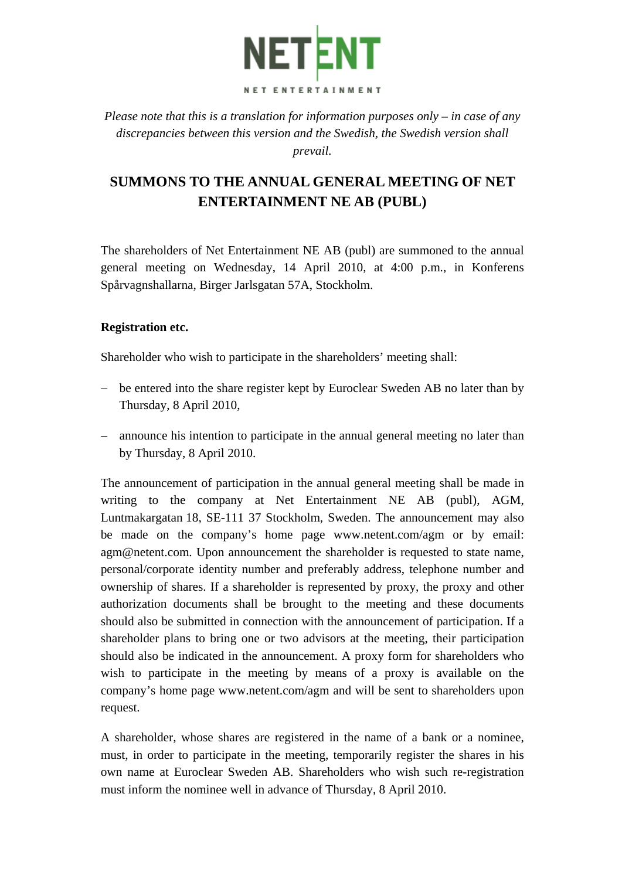

*Please note that this is a translation for information purposes only – in case of any discrepancies between this version and the Swedish, the Swedish version shall prevail.* 

# **SUMMONS TO THE ANNUAL GENERAL MEETING OF NET ENTERTAINMENT NE AB (PUBL)**

The shareholders of Net Entertainment NE AB (publ) are summoned to the annual general meeting on Wednesday, 14 April 2010, at 4:00 p.m., in Konferens Spårvagnshallarna, Birger Jarlsgatan 57A, Stockholm.

## **Registration etc.**

Shareholder who wish to participate in the shareholders' meeting shall:

- − be entered into the share register kept by Euroclear Sweden AB no later than by Thursday, 8 April 2010,
- − announce his intention to participate in the annual general meeting no later than by Thursday, 8 April 2010.

The announcement of participation in the annual general meeting shall be made in writing to the company at Net Entertainment NE AB (publ), AGM, Luntmakargatan 18, SE-111 37 Stockholm, Sweden. The announcement may also be made on the company's home page www.netent.com/agm or by email: agm@netent.com. Upon announcement the shareholder is requested to state name, personal/corporate identity number and preferably address, telephone number and ownership of shares. If a shareholder is represented by proxy, the proxy and other authorization documents shall be brought to the meeting and these documents should also be submitted in connection with the announcement of participation. If a shareholder plans to bring one or two advisors at the meeting, their participation should also be indicated in the announcement. A proxy form for shareholders who wish to participate in the meeting by means of a proxy is available on the company's home page www.netent.com/agm and will be sent to shareholders upon request.

A shareholder, whose shares are registered in the name of a bank or a nominee, must, in order to participate in the meeting, temporarily register the shares in his own name at Euroclear Sweden AB. Shareholders who wish such re-registration must inform the nominee well in advance of Thursday, 8 April 2010.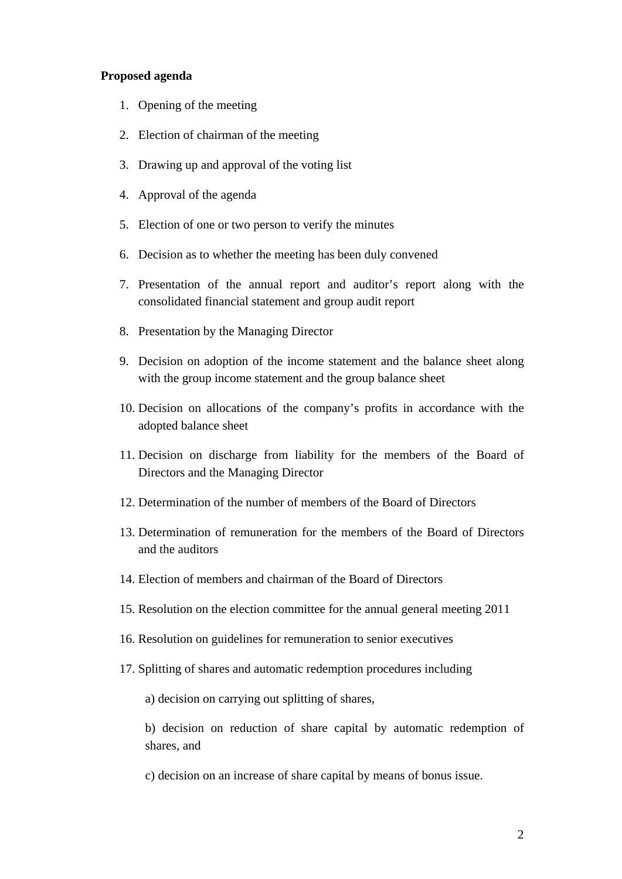#### **Proposed agenda**

- 1. Opening of the meeting
- 2. Election of chairman of the meeting
- 3. Drawing up and approval of the voting list
- 4. Approval of the agenda
- 5. Election of one or two person to verify the minutes
- 6. Decision as to whether the meeting has been duly convened
- 7. Presentation of the annual report and auditor's report along with the consolidated financial statement and group audit report
- 8. Presentation by the Managing Director
- 9. Decision on adoption of the income statement and the balance sheet along with the group income statement and the group balance sheet
- 10. Decision on allocations of the company's profits in accordance with the adopted balance sheet
- 11. Decision on discharge from liability for the members of the Board of Directors and the Managing Director
- 12. Determination of the number of members of the Board of Directors
- 13. Determination of remuneration for the members of the Board of Directors and the auditors
- 14. Election of members and chairman of the Board of Directors
- 15. Resolution on the election committee for the annual general meeting 2011
- 16. Resolution on guidelines for remuneration to senior executives
- 17. Splitting of shares and automatic redemption procedures including

a) decision on carrying out splitting of shares,

b) decision on reduction of share capital by automatic redemption of shares, and

c) decision on an increase of share capital by means of bonus issue.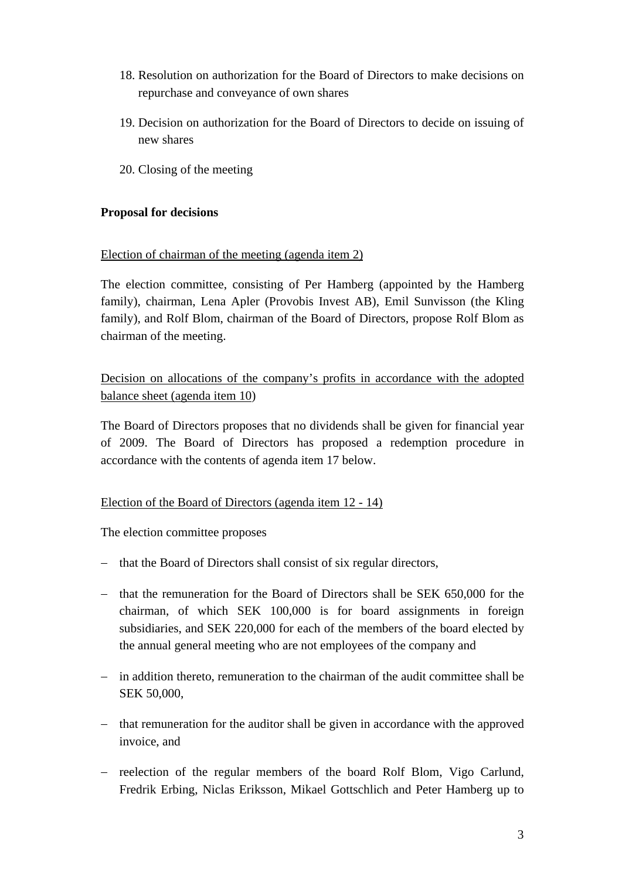- 18. Resolution on authorization for the Board of Directors to make decisions on repurchase and conveyance of own shares
- 19. Decision on authorization for the Board of Directors to decide on issuing of new shares
- 20. Closing of the meeting

## **Proposal for decisions**

## Election of chairman of the meeting (agenda item 2)

The election committee, consisting of Per Hamberg (appointed by the Hamberg family), chairman, Lena Apler (Provobis Invest AB), Emil Sunvisson (the Kling family), and Rolf Blom, chairman of the Board of Directors, propose Rolf Blom as chairman of the meeting.

Decision on allocations of the company's profits in accordance with the adopted balance sheet (agenda item 10)

The Board of Directors proposes that no dividends shall be given for financial year of 2009. The Board of Directors has proposed a redemption procedure in accordance with the contents of agenda item 17 below.

## Election of the Board of Directors (agenda item 12 - 14)

The election committee proposes

- − that the Board of Directors shall consist of six regular directors,
- − that the remuneration for the Board of Directors shall be SEK 650,000 for the chairman, of which SEK 100,000 is for board assignments in foreign subsidiaries, and SEK 220,000 for each of the members of the board elected by the annual general meeting who are not employees of the company and
- − in addition thereto, remuneration to the chairman of the audit committee shall be SEK 50,000,
- − that remuneration for the auditor shall be given in accordance with the approved invoice, and
- − reelection of the regular members of the board Rolf Blom, Vigo Carlund, Fredrik Erbing, Niclas Eriksson, Mikael Gottschlich and Peter Hamberg up to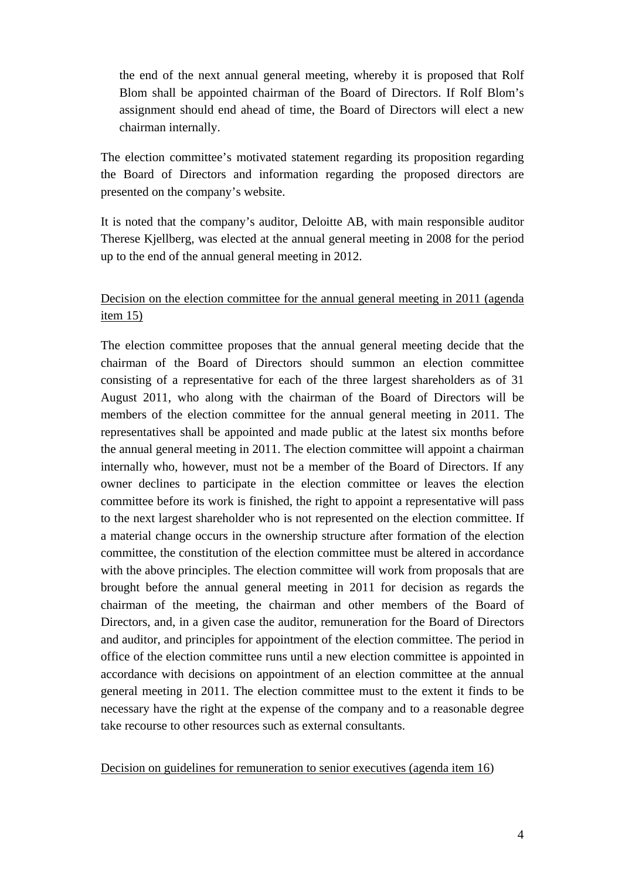the end of the next annual general meeting, whereby it is proposed that Rolf Blom shall be appointed chairman of the Board of Directors. If Rolf Blom's assignment should end ahead of time, the Board of Directors will elect a new chairman internally.

The election committee's motivated statement regarding its proposition regarding the Board of Directors and information regarding the proposed directors are presented on the company's website.

It is noted that the company's auditor, Deloitte AB, with main responsible auditor Therese Kjellberg, was elected at the annual general meeting in 2008 for the period up to the end of the annual general meeting in 2012.

# Decision on the election committee for the annual general meeting in 2011 (agenda item 15)

The election committee proposes that the annual general meeting decide that the chairman of the Board of Directors should summon an election committee consisting of a representative for each of the three largest shareholders as of 31 August 2011, who along with the chairman of the Board of Directors will be members of the election committee for the annual general meeting in 2011. The representatives shall be appointed and made public at the latest six months before the annual general meeting in 2011. The election committee will appoint a chairman internally who, however, must not be a member of the Board of Directors. If any owner declines to participate in the election committee or leaves the election committee before its work is finished, the right to appoint a representative will pass to the next largest shareholder who is not represented on the election committee. If a material change occurs in the ownership structure after formation of the election committee, the constitution of the election committee must be altered in accordance with the above principles. The election committee will work from proposals that are brought before the annual general meeting in 2011 for decision as regards the chairman of the meeting, the chairman and other members of the Board of Directors, and, in a given case the auditor, remuneration for the Board of Directors and auditor, and principles for appointment of the election committee. The period in office of the election committee runs until a new election committee is appointed in accordance with decisions on appointment of an election committee at the annual general meeting in 2011. The election committee must to the extent it finds to be necessary have the right at the expense of the company and to a reasonable degree take recourse to other resources such as external consultants.

Decision on guidelines for remuneration to senior executives (agenda item 16)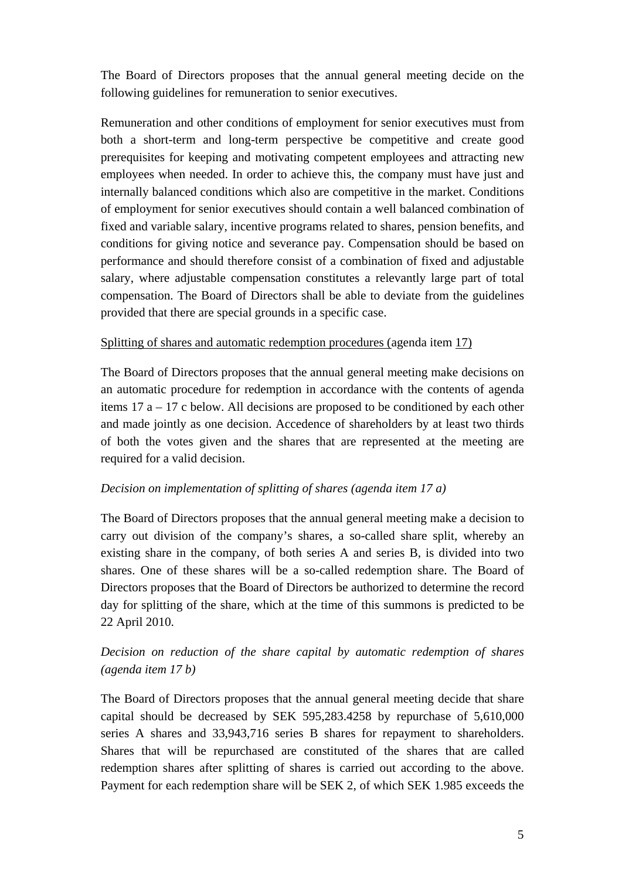The Board of Directors proposes that the annual general meeting decide on the following guidelines for remuneration to senior executives.

Remuneration and other conditions of employment for senior executives must from both a short-term and long-term perspective be competitive and create good prerequisites for keeping and motivating competent employees and attracting new employees when needed. In order to achieve this, the company must have just and internally balanced conditions which also are competitive in the market. Conditions of employment for senior executives should contain a well balanced combination of fixed and variable salary, incentive programs related to shares, pension benefits, and conditions for giving notice and severance pay. Compensation should be based on performance and should therefore consist of a combination of fixed and adjustable salary, where adjustable compensation constitutes a relevantly large part of total compensation. The Board of Directors shall be able to deviate from the guidelines provided that there are special grounds in a specific case.

# Splitting of shares and automatic redemption procedures (agenda item 17)

The Board of Directors proposes that the annual general meeting make decisions on an automatic procedure for redemption in accordance with the contents of agenda items 17 a – 17 c below. All decisions are proposed to be conditioned by each other and made jointly as one decision. Accedence of shareholders by at least two thirds of both the votes given and the shares that are represented at the meeting are required for a valid decision.

## *Decision on implementation of splitting of shares (agenda item 17 a)*

The Board of Directors proposes that the annual general meeting make a decision to carry out division of the company's shares, a so-called share split, whereby an existing share in the company, of both series A and series B, is divided into two shares. One of these shares will be a so-called redemption share. The Board of Directors proposes that the Board of Directors be authorized to determine the record day for splitting of the share, which at the time of this summons is predicted to be 22 April 2010.

# *Decision on reduction of the share capital by automatic redemption of shares (agenda item 17 b)*

The Board of Directors proposes that the annual general meeting decide that share capital should be decreased by SEK 595,283.4258 by repurchase of 5,610,000 series A shares and 33,943,716 series B shares for repayment to shareholders. Shares that will be repurchased are constituted of the shares that are called redemption shares after splitting of shares is carried out according to the above. Payment for each redemption share will be SEK 2, of which SEK 1.985 exceeds the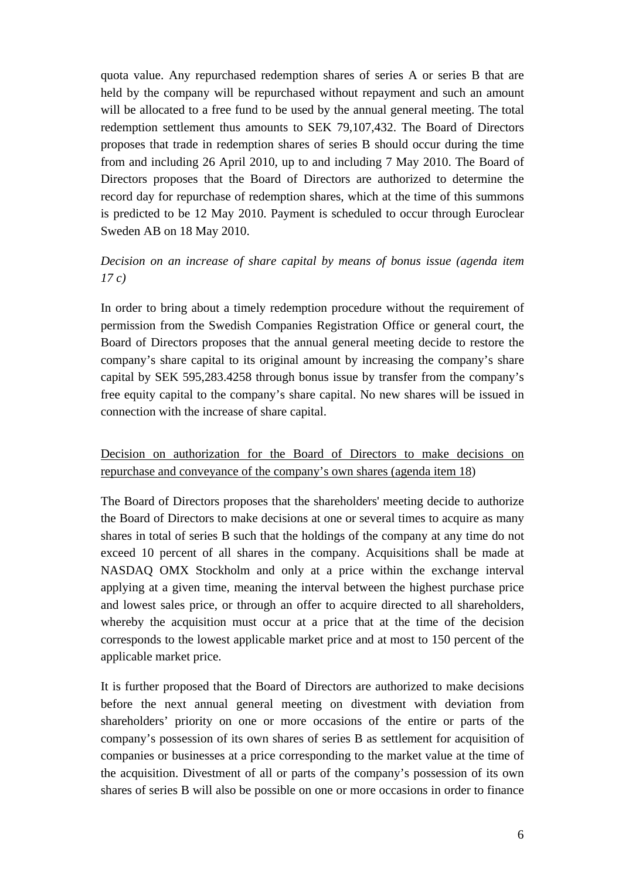quota value. Any repurchased redemption shares of series A or series B that are held by the company will be repurchased without repayment and such an amount will be allocated to a free fund to be used by the annual general meeting. The total redemption settlement thus amounts to SEK 79,107,432. The Board of Directors proposes that trade in redemption shares of series B should occur during the time from and including 26 April 2010, up to and including 7 May 2010. The Board of Directors proposes that the Board of Directors are authorized to determine the record day for repurchase of redemption shares, which at the time of this summons is predicted to be 12 May 2010. Payment is scheduled to occur through Euroclear Sweden AB on 18 May 2010.

# *Decision on an increase of share capital by means of bonus issue (agenda item 17 c)*

In order to bring about a timely redemption procedure without the requirement of permission from the Swedish Companies Registration Office or general court, the Board of Directors proposes that the annual general meeting decide to restore the company's share capital to its original amount by increasing the company's share capital by SEK 595,283.4258 through bonus issue by transfer from the company's free equity capital to the company's share capital. No new shares will be issued in connection with the increase of share capital.

Decision on authorization for the Board of Directors to make decisions on repurchase and conveyance of the company's own shares (agenda item 18)

The Board of Directors proposes that the shareholders' meeting decide to authorize the Board of Directors to make decisions at one or several times to acquire as many shares in total of series B such that the holdings of the company at any time do not exceed 10 percent of all shares in the company. Acquisitions shall be made at NASDAQ OMX Stockholm and only at a price within the exchange interval applying at a given time, meaning the interval between the highest purchase price and lowest sales price, or through an offer to acquire directed to all shareholders, whereby the acquisition must occur at a price that at the time of the decision corresponds to the lowest applicable market price and at most to 150 percent of the applicable market price.

It is further proposed that the Board of Directors are authorized to make decisions before the next annual general meeting on divestment with deviation from shareholders' priority on one or more occasions of the entire or parts of the company's possession of its own shares of series B as settlement for acquisition of companies or businesses at a price corresponding to the market value at the time of the acquisition. Divestment of all or parts of the company's possession of its own shares of series B will also be possible on one or more occasions in order to finance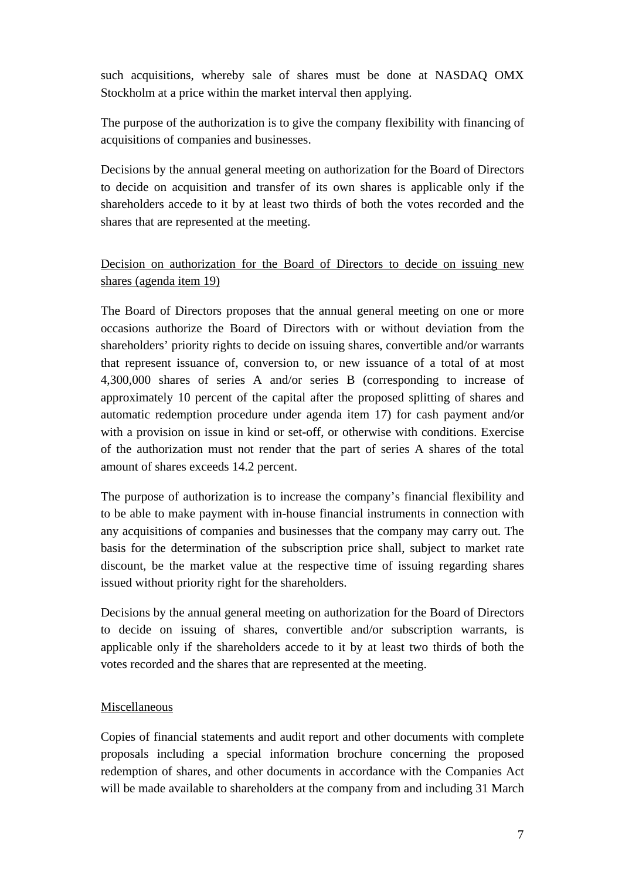such acquisitions, whereby sale of shares must be done at NASDAQ OMX Stockholm at a price within the market interval then applying.

The purpose of the authorization is to give the company flexibility with financing of acquisitions of companies and businesses.

Decisions by the annual general meeting on authorization for the Board of Directors to decide on acquisition and transfer of its own shares is applicable only if the shareholders accede to it by at least two thirds of both the votes recorded and the shares that are represented at the meeting.

# Decision on authorization for the Board of Directors to decide on issuing new shares (agenda item 19)

The Board of Directors proposes that the annual general meeting on one or more occasions authorize the Board of Directors with or without deviation from the shareholders' priority rights to decide on issuing shares, convertible and/or warrants that represent issuance of, conversion to, or new issuance of a total of at most 4,300,000 shares of series A and/or series B (corresponding to increase of approximately 10 percent of the capital after the proposed splitting of shares and automatic redemption procedure under agenda item 17) for cash payment and/or with a provision on issue in kind or set-off, or otherwise with conditions. Exercise of the authorization must not render that the part of series A shares of the total amount of shares exceeds 14.2 percent.

The purpose of authorization is to increase the company's financial flexibility and to be able to make payment with in-house financial instruments in connection with any acquisitions of companies and businesses that the company may carry out. The basis for the determination of the subscription price shall, subject to market rate discount, be the market value at the respective time of issuing regarding shares issued without priority right for the shareholders.

Decisions by the annual general meeting on authorization for the Board of Directors to decide on issuing of shares, convertible and/or subscription warrants, is applicable only if the shareholders accede to it by at least two thirds of both the votes recorded and the shares that are represented at the meeting.

## Miscellaneous

Copies of financial statements and audit report and other documents with complete proposals including a special information brochure concerning the proposed redemption of shares, and other documents in accordance with the Companies Act will be made available to shareholders at the company from and including 31 March